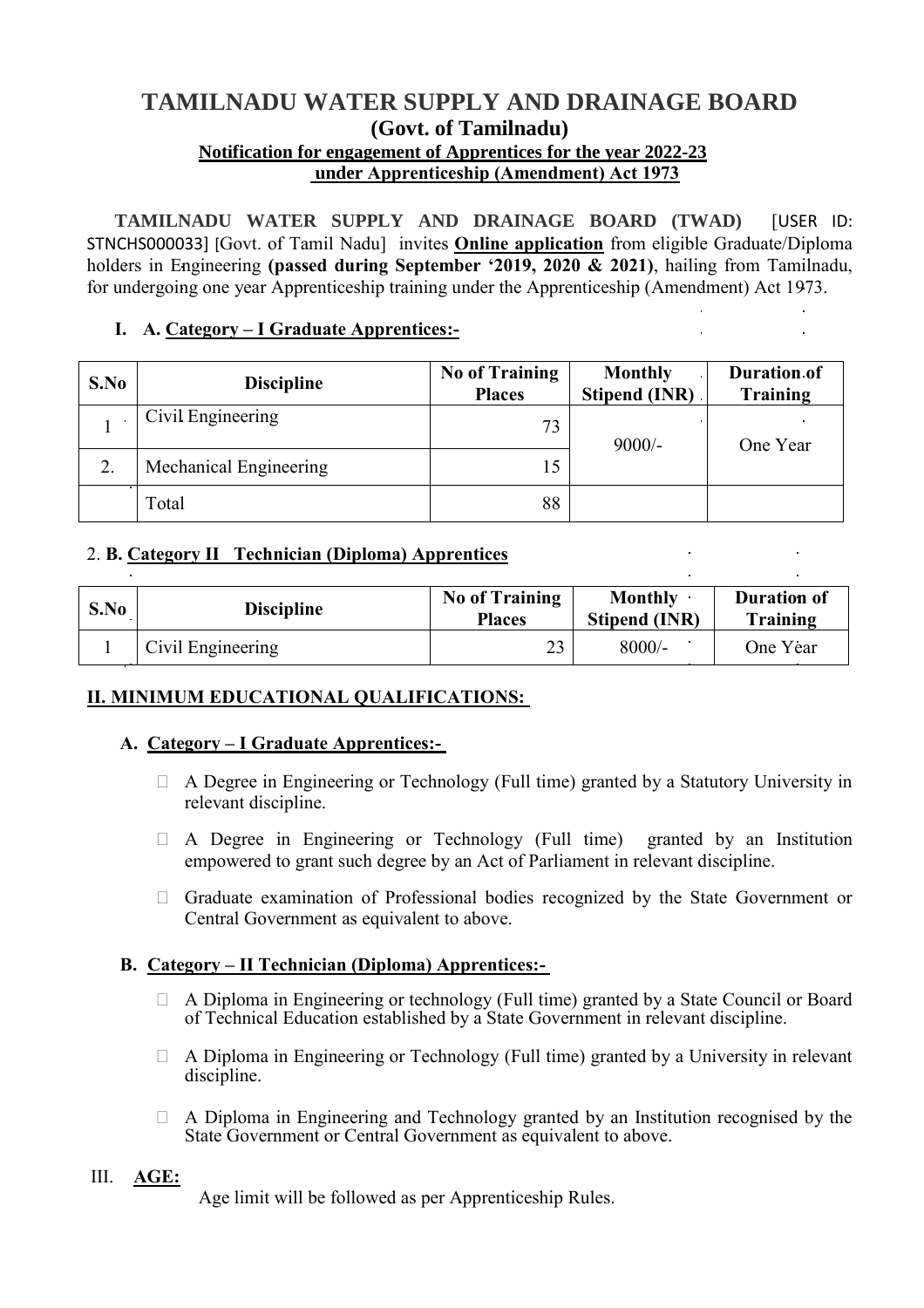# **TAMILNADU WATER SUPPLY AND DRAINAGE BOARD (Govt. of Tamilnadu) Notification for engagement of Apprentices for the year 2022-23**

**under Apprenticeship (Amendment) Act 1973**

**TAMILNADU WATER SUPPLY AND DRAINAGE BOARD (TWAD)** [USER ID: STNCHS000033] [Govt. of Tamil Nadu] invites **Online application** from eligible Graduate/Diploma holders in Engineering **(passed during September '2019, 2020 & 2021)**, hailing from Tamilnadu, for undergoing one year Apprenticeship training under the Apprenticeship (Amendment) Act 1973.

# **I. A. Category – I Graduate Apprentices:-**

| S.No | <b>Discipline</b>      | <b>No of Training</b><br><b>Places</b> | <b>Monthly</b><br><b>Stipend (INR)</b> | <b>Duration of</b><br>Training |
|------|------------------------|----------------------------------------|----------------------------------------|--------------------------------|
|      | Civil Engineering      | 73                                     | $9000/-$                               | One Year                       |
| 2.   | Mechanical Engineering | 15                                     |                                        |                                |
|      | Total                  | 88                                     |                                        |                                |

# 2. **B. Category II Technician (Diploma) Apprentices**

| S.No | <b>Discipline</b> | <b>No of Training</b><br><b>Places</b> | <b>Monthly</b><br><b>Stipend (INR)</b> | <b>Duration of</b><br>Training |
|------|-------------------|----------------------------------------|----------------------------------------|--------------------------------|
|      | Civil Engineering | 2 <sub>2</sub>                         | $8000/-$                               | One Year                       |

# **II. MINIMUM EDUCATIONAL QUALIFICATIONS:**

### **A. Category – I Graduate Apprentices:-**

- $\Box$  A Degree in Engineering or Technology (Full time) granted by a Statutory University in relevant discipline.
- A Degree in Engineering or Technology (Full time) granted by an Institution empowered to grant such degree by an Act of Parliament in relevant discipline.
- $\Box$  Graduate examination of Professional bodies recognized by the State Government or Central Government as equivalent to above.

### **B. Category – II Technician (Diploma) Apprentices:-**

- A Diploma in Engineering or technology (Full time) granted by a State Council or Board of Technical Education established by a State Government in relevant discipline.
- $\Box$  A Diploma in Engineering or Technology (Full time) granted by a University in relevant discipline.
- A Diploma in Engineering and Technology granted by an Institution recognised by the State Government or Central Government as equivalent to above.

### III. **AGE:**

Age limit will be followed as per Apprenticeship Rules.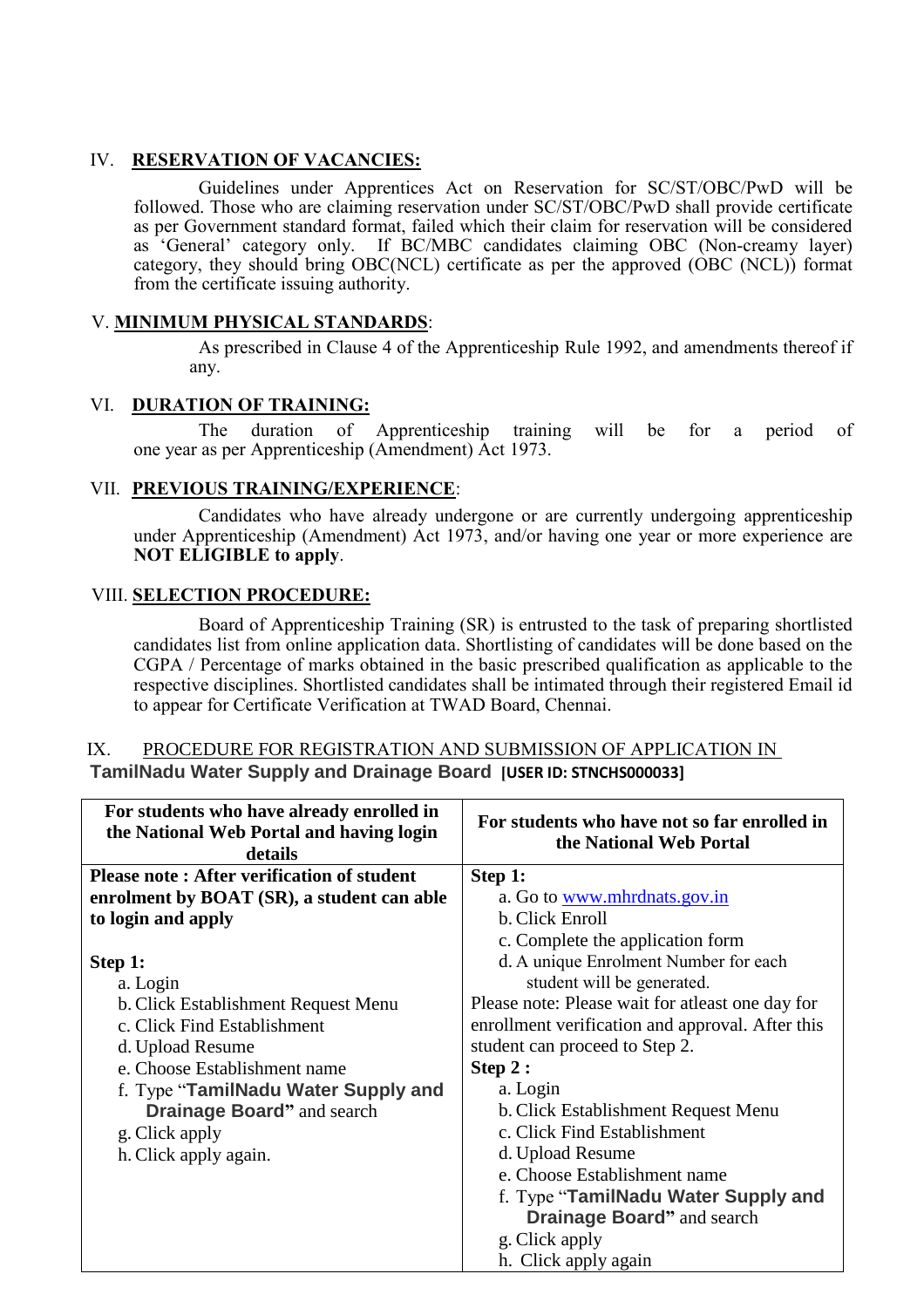# IV. **RESERVATION OF VACANCIES:**

Guidelines under Apprentices Act on Reservation for SC/ST/OBC/PwD will be followed. Those who are claiming reservation under SC/ST/OBC/PwD shall provide certificate as per Government standard format, failed which their claim for reservation will be considered as 'General' category only. If BC/MBC candidates claiming OBC (Non-creamy layer) category, they should bring OBC(NCL) certificate as per the approved (OBC (NCL)) format from the certificate issuing authority.

## V. **MINIMUM PHYSICAL STANDARDS**:

As prescribed in Clause 4 of the Apprenticeship Rule 1992, and amendments thereof if any.

### VI. **DURATION OF TRAINING:**

The duration of Apprenticeship training will be for a period of one year as per Apprenticeship (Amendment) Act 1973.

# VII. **PREVIOUS TRAINING/EXPERIENCE**:

 Candidates who have already undergone or are currently undergoing apprenticeship under Apprenticeship (Amendment) Act 1973, and/or having one year or more experience are **NOT ELIGIBLE to apply**.

### VIII. **SELECTION PROCEDURE:**

 Board of Apprenticeship Training (SR) is entrusted to the task of preparing shortlisted candidates list from online application data. Shortlisting of candidates will be done based on the CGPA / Percentage of marks obtained in the basic prescribed qualification as applicable to the respective disciplines. Shortlisted candidates shall be intimated through their registered Email id to appear for Certificate Verification at TWAD Board, Chennai.

### IX. PROCEDURE FOR REGISTRATION AND SUBMISSION OF APPLICATION IN **TamilNadu Water Supply and Drainage Board [USER ID: STNCHS000033]**

| For students who have already enrolled in<br>the National Web Portal and having login<br>details | For students who have not so far enrolled in<br>the National Web Portal |  |
|--------------------------------------------------------------------------------------------------|-------------------------------------------------------------------------|--|
| <b>Please note: After verification of student</b>                                                | Step 1:                                                                 |  |
| enrolment by BOAT (SR), a student can able                                                       | a. Go to <u>www.mhrdnats.gov.in</u>                                     |  |
| to login and apply                                                                               | b. Click Enroll                                                         |  |
|                                                                                                  | c. Complete the application form                                        |  |
| Step 1:                                                                                          | d. A unique Enrolment Number for each                                   |  |
| a. Login                                                                                         | student will be generated.                                              |  |
| b. Click Establishment Request Menu                                                              | Please note: Please wait for atleast one day for                        |  |
| c. Click Find Establishment                                                                      | enrollment verification and approval. After this                        |  |
| d. Upload Resume                                                                                 | student can proceed to Step 2.                                          |  |
| e. Choose Establishment name                                                                     | Step 2:                                                                 |  |
| f. Type "TamilNadu Water Supply and                                                              | a. Login                                                                |  |
| Drainage Board" and search                                                                       | b. Click Establishment Request Menu                                     |  |
| g. Click apply                                                                                   | c. Click Find Establishment                                             |  |
| h. Click apply again.                                                                            | d. Upload Resume                                                        |  |
|                                                                                                  | e. Choose Establishment name                                            |  |
|                                                                                                  | f. Type "TamilNadu Water Supply and                                     |  |
|                                                                                                  | <b>Drainage Board</b> " and search                                      |  |
|                                                                                                  | g. Click apply                                                          |  |
|                                                                                                  | h. Click apply again                                                    |  |